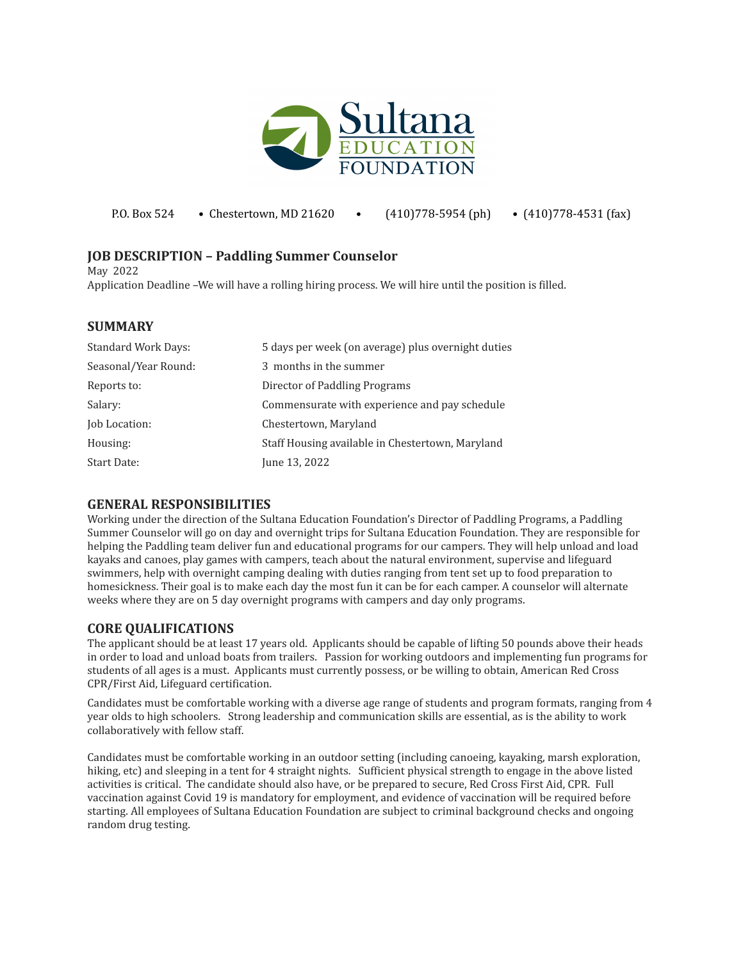

| P.O. Box 524 | • Chestertown, MD 21620 |  | $(410)778-5954$ (ph) | $\bullet$ (410)778-4531 (fax) |
|--------------|-------------------------|--|----------------------|-------------------------------|
|--------------|-------------------------|--|----------------------|-------------------------------|

## **JOB DESCRIPTION – Paddling Summer Counselor**

May 2022

Application Deadline –We will have a rolling hiring process. We will hire until the position is filled.

### **SUMMARY**

| <b>Standard Work Days:</b> | 5 days per week (on average) plus overnight duties |
|----------------------------|----------------------------------------------------|
| Seasonal/Year Round:       | 3 months in the summer                             |
| Reports to:                | Director of Paddling Programs                      |
| Salary:                    | Commensurate with experience and pay schedule      |
| Job Location:              | Chestertown, Maryland                              |
| Housing:                   | Staff Housing available in Chestertown, Maryland   |
| <b>Start Date:</b>         | June 13, 2022                                      |

#### **GENERAL RESPONSIBILITIES**

Working under the direction of the Sultana Education Foundation's Director of Paddling Programs, a Paddling Summer Counselor will go on day and overnight trips for Sultana Education Foundation. They are responsible for helping the Paddling team deliver fun and educational programs for our campers. They will help unload and load kayaks and canoes, play games with campers, teach about the natural environment, supervise and lifeguard swimmers, help with overnight camping dealing with duties ranging from tent set up to food preparation to homesickness. Their goal is to make each day the most fun it can be for each camper. A counselor will alternate weeks where they are on 5 day overnight programs with campers and day only programs.

#### **CORE QUALIFICATIONS**

The applicant should be at least 17 years old. Applicants should be capable of lifting 50 pounds above their heads in order to load and unload boats from trailers. Passion for working outdoors and implementing fun programs for students of all ages is a must. Applicants must currently possess, or be willing to obtain, American Red Cross CPR/First Aid, Lifeguard certification.

Candidates must be comfortable working with a diverse age range of students and program formats, ranging from 4 year olds to high schoolers. Strong leadership and communication skills are essential, as is the ability to work collaboratively with fellow staff.

Candidates must be comfortable working in an outdoor setting (including canoeing, kayaking, marsh exploration, hiking, etc) and sleeping in a tent for 4 straight nights. Sufficient physical strength to engage in the above listed activities is critical. The candidate should also have, or be prepared to secure, Red Cross First Aid, CPR. Full vaccination against Covid 19 is mandatory for employment, and evidence of vaccination will be required before starting. All employees of Sultana Education Foundation are subject to criminal background checks and ongoing random drug testing.